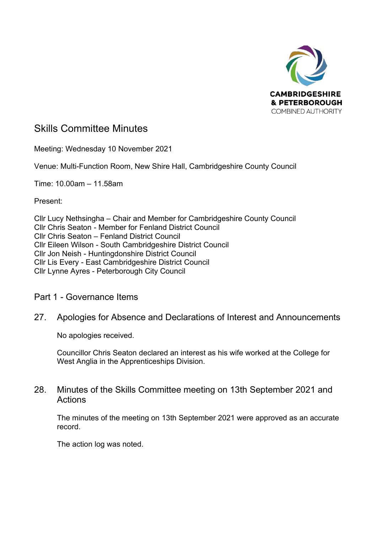

# Skills Committee Minutes

Meeting: Wednesday 10 November 2021

Venue: Multi-Function Room, New Shire Hall, Cambridgeshire County Council

Time: 10.00am – 11.58am

Present:

Cllr Lucy Nethsingha – Chair and Member for Cambridgeshire County Council Cllr Chris Seaton - Member for Fenland District Council Cllr Chris Seaton – Fenland District Council Cllr Eileen Wilson - South Cambridgeshire District Council Cllr Jon Neish - Huntingdonshire District Council Cllr Lis Every - East Cambridgeshire District Council Cllr Lynne Ayres - Peterborough City Council

### Part 1 - Governance Items

# 27. Apologies for Absence and Declarations of Interest and Announcements

No apologies received.

Councillor Chris Seaton declared an interest as his wife worked at the College for West Anglia in the Apprenticeships Division.

# 28. Minutes of the Skills Committee meeting on 13th September 2021 and **Actions**

The minutes of the meeting on 13th September 2021 were approved as an accurate record.

The action log was noted.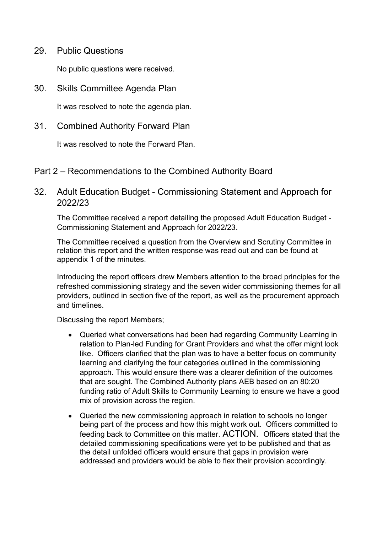29. Public Questions

No public questions were received.

30. Skills Committee Agenda Plan

It was resolved to note the agenda plan.

31. Combined Authority Forward Plan

It was resolved to note the Forward Plan.

#### Part 2 – Recommendations to the Combined Authority Board

# 32. Adult Education Budget - Commissioning Statement and Approach for 2022/23

The Committee received a report detailing the proposed Adult Education Budget - Commissioning Statement and Approach for 2022/23.

The Committee received a question from the Overview and Scrutiny Committee in relation this report and the written response was read out and can be found at appendix 1 of the minutes.

Introducing the report officers drew Members attention to the broad principles for the refreshed commissioning strategy and the seven wider commissioning themes for all providers, outlined in section five of the report, as well as the procurement approach and timelines.

Discussing the report Members;

- Queried what conversations had been had regarding Community Learning in relation to Plan-led Funding for Grant Providers and what the offer might look like. Officers clarified that the plan was to have a better focus on community learning and clarifying the four categories outlined in the commissioning approach. This would ensure there was a clearer definition of the outcomes that are sought. The Combined Authority plans AEB based on an 80:20 funding ratio of Adult Skills to Community Learning to ensure we have a good mix of provision across the region.
- Queried the new commissioning approach in relation to schools no longer being part of the process and how this might work out. Officers committed to feeding back to Committee on this matter. ACTION. Officers stated that the detailed commissioning specifications were yet to be published and that as the detail unfolded officers would ensure that gaps in provision were addressed and providers would be able to flex their provision accordingly.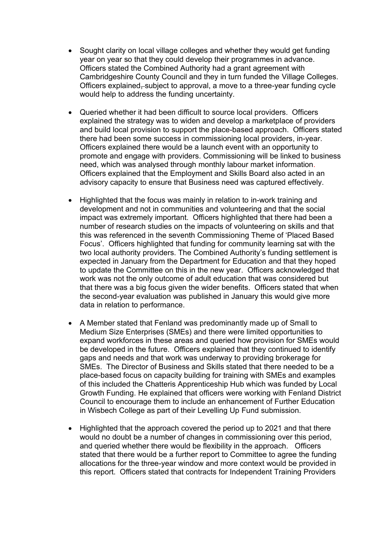- Sought clarity on local village colleges and whether they would get funding year on year so that they could develop their programmes in advance. Officers stated the Combined Authority had a grant agreement with Cambridgeshire County Council and they in turn funded the Village Colleges. Officers explained, subject to approval, a move to a three-year funding cycle would help to address the funding uncertainty.
- Queried whether it had been difficult to source local providers. Officers explained the strategy was to widen and develop a marketplace of providers and build local provision to support the place-based approach. Officers stated there had been some success in commissioning local providers, in-year. Officers explained there would be a launch event with an opportunity to promote and engage with providers. Commissioning will be linked to business need, which was analysed through monthly labour market information. Officers explained that the Employment and Skills Board also acted in an advisory capacity to ensure that Business need was captured effectively.
- Highlighted that the focus was mainly in relation to in-work training and development and not in communities and volunteering and that the social impact was extremely important. Officers highlighted that there had been a number of research studies on the impacts of volunteering on skills and that this was referenced in the seventh Commissioning Theme of 'Placed Based Focus'. Officers highlighted that funding for community learning sat with the two local authority providers. The Combined Authority's funding settlement is expected in January from the Department for Education and that they hoped to update the Committee on this in the new year. Officers acknowledged that work was not the only outcome of adult education that was considered but that there was a big focus given the wider benefits. Officers stated that when the second-year evaluation was published in January this would give more data in relation to performance.
- A Member stated that Fenland was predominantly made up of Small to Medium Size Enterprises (SMEs) and there were limited opportunities to expand workforces in these areas and queried how provision for SMEs would be developed in the future. Officers explained that they continued to identify gaps and needs and that work was underway to providing brokerage for SMEs. The Director of Business and Skills stated that there needed to be a place-based focus on capacity building for training with SMEs and examples of this included the Chatteris Apprenticeship Hub which was funded by Local Growth Funding. He explained that officers were working with Fenland District Council to encourage them to include an enhancement of Further Education in Wisbech College as part of their Levelling Up Fund submission.
- Highlighted that the approach covered the period up to 2021 and that there would no doubt be a number of changes in commissioning over this period, and queried whether there would be flexibility in the approach. Officers stated that there would be a further report to Committee to agree the funding allocations for the three-year window and more context would be provided in this report. Officers stated that contracts for Independent Training Providers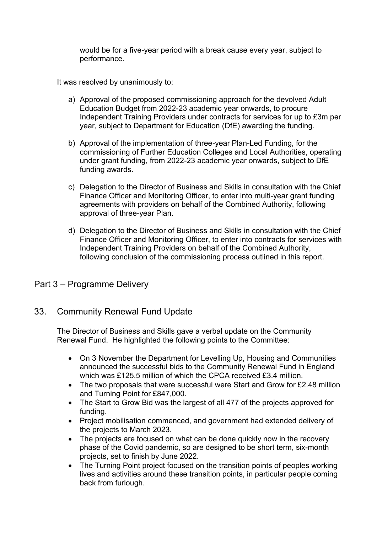would be for a five-year period with a break cause every year, subject to performance.

It was resolved by unanimously to:

- a) Approval of the proposed commissioning approach for the devolved Adult Education Budget from 2022-23 academic year onwards, to procure Independent Training Providers under contracts for services for up to £3m per year, subject to Department for Education (DfE) awarding the funding.
- b) Approval of the implementation of three-year Plan-Led Funding, for the commissioning of Further Education Colleges and Local Authorities, operating under grant funding, from 2022-23 academic year onwards, subject to DfE funding awards.
- c) Delegation to the Director of Business and Skills in consultation with the Chief Finance Officer and Monitoring Officer, to enter into multi-year grant funding agreements with providers on behalf of the Combined Authority, following approval of three-year Plan.
- d) Delegation to the Director of Business and Skills in consultation with the Chief Finance Officer and Monitoring Officer, to enter into contracts for services with Independent Training Providers on behalf of the Combined Authority, following conclusion of the commissioning process outlined in this report.

# Part 3 – Programme Delivery

### 33. Community Renewal Fund Update

The Director of Business and Skills gave a verbal update on the Community Renewal Fund. He highlighted the following points to the Committee:

- On 3 November the Department for Levelling Up, Housing and Communities announced the successful bids to the Community Renewal Fund in England which was £125.5 million of which the CPCA received £3.4 million.
- The two proposals that were successful were Start and Grow for £2.48 million and Turning Point for £847,000.
- The Start to Grow Bid was the largest of all 477 of the projects approved for funding.
- Project mobilisation commenced, and government had extended delivery of the projects to March 2023.
- The projects are focused on what can be done quickly now in the recovery phase of the Covid pandemic, so are designed to be short term, six-month projects, set to finish by June 2022.
- The Turning Point project focused on the transition points of peoples working lives and activities around these transition points, in particular people coming back from furlough.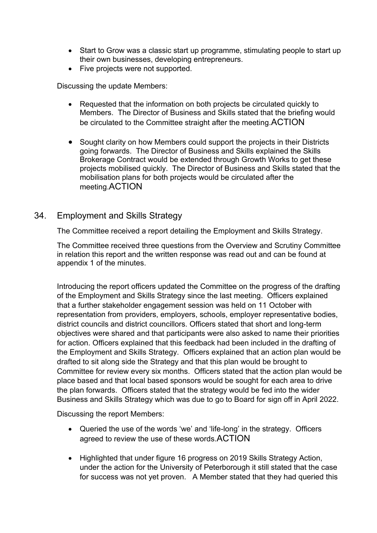- Start to Grow was a classic start up programme, stimulating people to start up their own businesses, developing entrepreneurs.
- Five projects were not supported.

Discussing the update Members:

- Requested that the information on both projects be circulated quickly to Members. The Director of Business and Skills stated that the briefing would be circulated to the Committee straight after the meeting.ACTION
- Sought clarity on how Members could support the projects in their Districts going forwards. The Director of Business and Skills explained the Skills Brokerage Contract would be extended through Growth Works to get these projects mobilised quickly. The Director of Business and Skills stated that the mobilisation plans for both projects would be circulated after the meeting.ACTION

#### 34. Employment and Skills Strategy

The Committee received a report detailing the Employment and Skills Strategy.

The Committee received three questions from the Overview and Scrutiny Committee in relation this report and the written response was read out and can be found at appendix 1 of the minutes.

Introducing the report officers updated the Committee on the progress of the drafting of the Employment and Skills Strategy since the last meeting. Officers explained that a further stakeholder engagement session was held on 11 October with representation from providers, employers, schools, employer representative bodies, district councils and district councillors. Officers stated that short and long-term objectives were shared and that participants were also asked to name their priorities for action. Officers explained that this feedback had been included in the drafting of the Employment and Skills Strategy. Officers explained that an action plan would be drafted to sit along side the Strategy and that this plan would be brought to Committee for review every six months. Officers stated that the action plan would be place based and that local based sponsors would be sought for each area to drive the plan forwards. Officers stated that the strategy would be fed into the wider Business and Skills Strategy which was due to go to Board for sign off in April 2022.

Discussing the report Members:

- Queried the use of the words 'we' and 'life-long' in the strategy. Officers agreed to review the use of these words.ACTION
- Highlighted that under figure 16 progress on 2019 Skills Strategy Action, under the action for the University of Peterborough it still stated that the case for success was not yet proven. A Member stated that they had queried this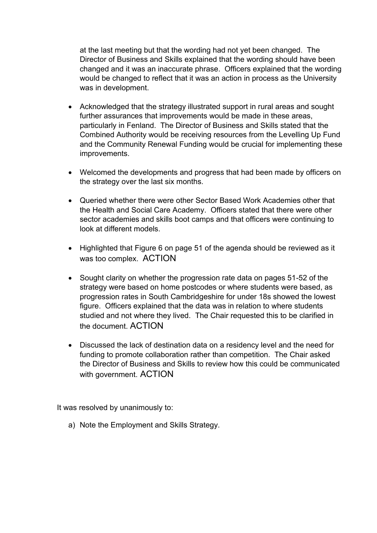at the last meeting but that the wording had not yet been changed. The Director of Business and Skills explained that the wording should have been changed and it was an inaccurate phrase. Officers explained that the wording would be changed to reflect that it was an action in process as the University was in development.

- Acknowledged that the strategy illustrated support in rural areas and sought further assurances that improvements would be made in these areas, particularly in Fenland. The Director of Business and Skills stated that the Combined Authority would be receiving resources from the Levelling Up Fund and the Community Renewal Funding would be crucial for implementing these improvements.
- Welcomed the developments and progress that had been made by officers on the strategy over the last six months.
- Queried whether there were other Sector Based Work Academies other that the Health and Social Care Academy. Officers stated that there were other sector academies and skills boot camps and that officers were continuing to look at different models.
- Highlighted that Figure 6 on page 51 of the agenda should be reviewed as it was too complex. ACTION
- Sought clarity on whether the progression rate data on pages 51-52 of the strategy were based on home postcodes or where students were based, as progression rates in South Cambridgeshire for under 18s showed the lowest figure. Officers explained that the data was in relation to where students studied and not where they lived. The Chair requested this to be clarified in the document. ACTION
- Discussed the lack of destination data on a residency level and the need for funding to promote collaboration rather than competition. The Chair asked the Director of Business and Skills to review how this could be communicated with government. ACTION

It was resolved by unanimously to:

a) Note the Employment and Skills Strategy.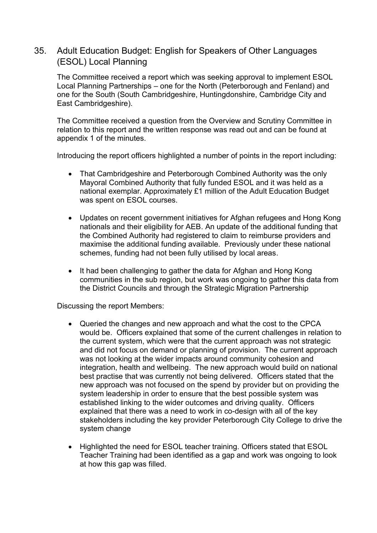# 35. Adult Education Budget: English for Speakers of Other Languages (ESOL) Local Planning

The Committee received a report which was seeking approval to implement ESOL Local Planning Partnerships – one for the North (Peterborough and Fenland) and one for the South (South Cambridgeshire, Huntingdonshire, Cambridge City and East Cambridgeshire).

The Committee received a question from the Overview and Scrutiny Committee in relation to this report and the written response was read out and can be found at appendix 1 of the minutes.

Introducing the report officers highlighted a number of points in the report including:

- That Cambridgeshire and Peterborough Combined Authority was the only Mayoral Combined Authority that fully funded ESOL and it was held as a national exemplar. Approximately £1 million of the Adult Education Budget was spent on ESOL courses.
- Updates on recent government initiatives for Afghan refugees and Hong Kong nationals and their eligibility for AEB. An update of the additional funding that the Combined Authority had registered to claim to reimburse providers and maximise the additional funding available. Previously under these national schemes, funding had not been fully utilised by local areas.
- It had been challenging to gather the data for Afghan and Hong Kong communities in the sub region, but work was ongoing to gather this data from the District Councils and through the Strategic Migration Partnership

Discussing the report Members:

- Queried the changes and new approach and what the cost to the CPCA would be. Officers explained that some of the current challenges in relation to the current system, which were that the current approach was not strategic and did not focus on demand or planning of provision. The current approach was not looking at the wider impacts around community cohesion and integration, health and wellbeing. The new approach would build on national best practise that was currently not being delivered. Officers stated that the new approach was not focused on the spend by provider but on providing the system leadership in order to ensure that the best possible system was established linking to the wider outcomes and driving quality. Officers explained that there was a need to work in co-design with all of the key stakeholders including the key provider Peterborough City College to drive the system change
- Highlighted the need for ESOL teacher training. Officers stated that ESOL Teacher Training had been identified as a gap and work was ongoing to look at how this gap was filled.